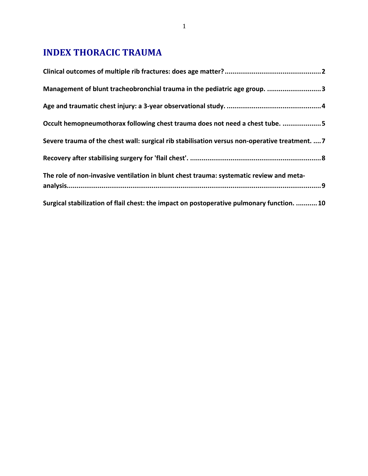# **INDEX THORACIC TRAUMA**

| Management of blunt tracheobronchial trauma in the pediatric age group. 3                      |
|------------------------------------------------------------------------------------------------|
|                                                                                                |
| Occult hemopneumothorax following chest trauma does not need a chest tube. 5                   |
| Severe trauma of the chest wall: surgical rib stabilisation versus non-operative treatment.  7 |
|                                                                                                |
| The role of non-invasive ventilation in blunt chest trauma: systematic review and meta-        |
| Surgical stabilization of flail chest: the impact on postoperative pulmonary function.  10     |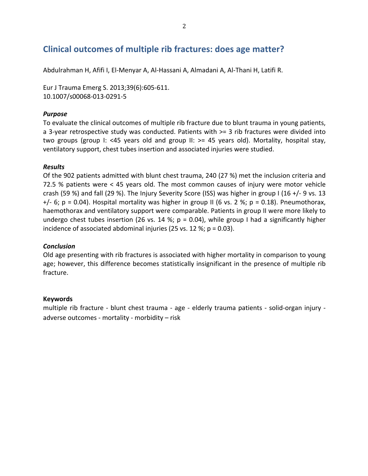# Clinical outcomes of multiple rib fractures: does age matter?

Abdulrahman H, Afifi I, El-Menyar A, Al-Hassani A, Almadani A, Al-Thani H, Latifi R.

Eur J Trauma Emerg S. 2013;39(6):605-611. 10.1007/s00068-013-0291-5

## *Purpose*

To evaluate the clinical outcomes of multiple rib fracture due to blunt trauma in young patients, a 3-year retrospective study was conducted. Patients with  $>=$  3 rib fractures were divided into two groups (group I: <45 years old and group II:  $>=$  45 years old). Mortality, hospital stay, ventilatory support, chest tubes insertion and associated injuries were studied.

### *Results*

Of the 902 patients admitted with blunt chest trauma, 240 (27 %) met the inclusion criteria and 72.5 % patients were  $<$  45 years old. The most common causes of injury were motor vehicle crash (59 %) and fall (29 %). The Injury Severity Score (ISS) was higher in group I (16 +/- 9 vs. 13  $+/-$  6; p = 0.04). Hospital mortality was higher in group II (6 vs. 2 %; p = 0.18). Pneumothorax, haemothorax and ventilatory support were comparable. Patients in group II were more likely to undergo chest tubes insertion (26 vs. 14 %;  $p = 0.04$ ), while group I had a significantly higher incidence of associated abdominal injuries (25 vs. 12 %;  $p = 0.03$ ).

### *Conclusion*

Old age presenting with rib fractures is associated with higher mortality in comparison to young age; however, this difference becomes statistically insignificant in the presence of multiple rib fracture.

### **Keywords**

multiple rib fracture - blunt chest trauma - age - elderly trauma patients - solid-organ injury adverse outcomes - mortality - morbidity  $-$  risk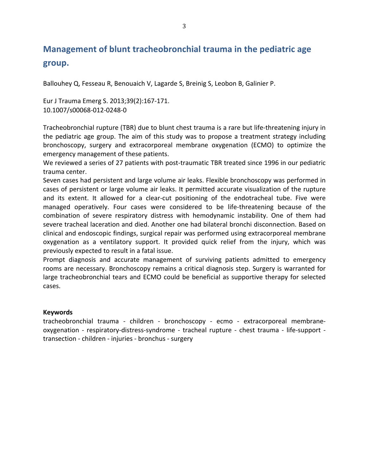# **Management of blunt tracheobronchial trauma in the pediatric age group.**

Ballouhey Q, Fesseau R, Benouaich V, Lagarde S, Breinig S, Leobon B, Galinier P.

Eur J Trauma Emerg S. 2013;39(2):167-171. 10.1007/s00068-012-0248-0

Tracheobronchial rupture (TBR) due to blunt chest trauma is a rare but life-threatening injury in the pediatric age group. The aim of this study was to propose a treatment strategy including bronchoscopy, surgery and extracorporeal membrane oxygenation (ECMO) to optimize the emergency management of these patients.

We reviewed a series of 27 patients with post-traumatic TBR treated since 1996 in our pediatric trauma center.

Seven cases had persistent and large volume air leaks. Flexible bronchoscopy was performed in cases of persistent or large volume air leaks. It permitted accurate visualization of the rupture and its extent. It allowed for a clear-cut positioning of the endotracheal tube. Five were managed operatively. Four cases were considered to be life-threatening because of the combination of severe respiratory distress with hemodynamic instability. One of them had severe tracheal laceration and died. Another one had bilateral bronchi disconnection. Based on clinical and endoscopic findings, surgical repair was performed using extracorporeal membrane oxygenation as a ventilatory support. It provided quick relief from the injury, which was previously expected to result in a fatal issue.

Prompt diagnosis and accurate management of surviving patients admitted to emergency rooms are necessary. Bronchoscopy remains a critical diagnosis step. Surgery is warranted for large tracheobronchial tears and ECMO could be beneficial as supportive therapy for selected cases.

### **Keywords**

tracheobronchial trauma - children - bronchoscopy - ecmo - extracorporeal membraneoxygenation - respiratory-distress-syndrome - tracheal rupture - chest trauma - life-support transection - children - injuries - bronchus - surgery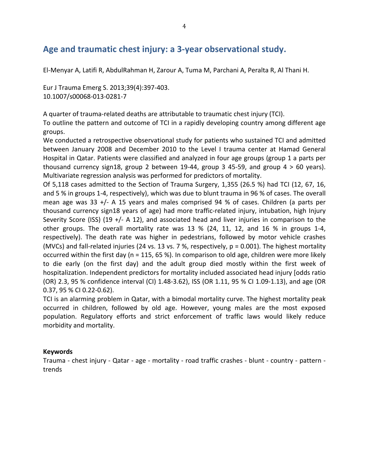# Age and traumatic chest injury: a 3-year observational study.

El-Menyar A, Latifi R, AbdulRahman H, Zarour A, Tuma M, Parchani A, Peralta R, Al Thani H.

Eur J Trauma Emerg S. 2013;39(4):397-403. 10.1007/s00068-013-0281-7

A quarter of trauma-related deaths are attributable to traumatic chest injury (TCI).

To outline the pattern and outcome of TCI in a rapidly developing country among different age groups.

We conducted a retrospective observational study for patients who sustained TCI and admitted between January 2008 and December 2010 to the Level I trauma center at Hamad General Hospital in Qatar. Patients were classified and analyzed in four age groups (group 1 a parts per thousand currency sign18, group 2 between 19-44, group 3 45-59, and group  $4 > 60$  years). Multivariate regression analysis was performed for predictors of mortality.

Of 5,118 cases admitted to the Section of Trauma Surgery, 1,355 (26.5 %) had TCI (12, 67, 16, and 5 % in groups 1-4, respectively), which was due to blunt trauma in 96 % of cases. The overall mean age was 33  $+/-$  A 15 years and males comprised 94 % of cases. Children (a parts per thousand currency sign18 years of age) had more traffic-related injury, intubation, high Injury Severity Score (ISS) (19  $+/-$  A 12), and associated head and liver injuries in comparison to the other groups. The overall mortality rate was 13 % (24, 11, 12, and 16 % in groups 1-4, respectively). The death rate was higher in pedestrians, followed by motor vehicle crashes (MVCs) and fall-related injuries (24 vs. 13 vs. 7 %, respectively,  $p = 0.001$ ). The highest mortality occurred within the first day (n = 115, 65 %). In comparison to old age, children were more likely to die early (on the first day) and the adult group died mostly within the first week of hospitalization. Independent predictors for mortality included associated head injury [odds ratio (OR) 2.3, 95 % confidence interval (CI) 1.48-3.62), ISS (OR 1.11, 95 % CI 1.09-1.13), and age (OR 0.37, 95 % CI 0.22-0.62).

TCI is an alarming problem in Qatar, with a bimodal mortality curve. The highest mortality peak occurred in children, followed by old age. However, young males are the most exposed population. Regulatory efforts and strict enforcement of traffic laws would likely reduce morbidity and mortality.

### **Keywords**

Trauma - chest injury - Qatar - age - mortality - road traffic crashes - blunt - country - pattern trends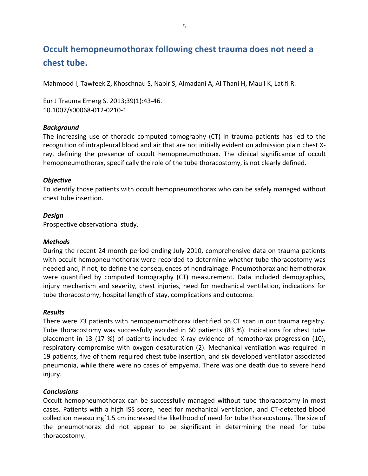# **Occult hemopneumothorax following chest trauma does not need a** chest tube.

Mahmood I, Tawfeek Z, Khoschnau S, Nabir S, Almadani A, Al Thani H, Maull K, Latifi R.

Eur J Trauma Emerg S. 2013;39(1):43-46. 10.1007/s00068-012-0210-1

#### *Background4*

The increasing use of thoracic computed tomography (CT) in trauma patients has led to the recognition of intrapleural blood and air that are not initially evident on admission plain chest Xray, defining the presence of occult hemopneumothorax. The clinical significance of occult hemopneumothorax, specifically the role of the tube thoracostomy, is not clearly defined.

#### *Objective4*

To identify those patients with occult hemopneumothorax who can be safely managed without chest tube insertion.

#### *Design4*

Prospective observational study.

#### *Methods*

During the recent 24 month period ending July 2010, comprehensive data on trauma patients with occult hemopneumothorax were recorded to determine whether tube thoracostomy was needed and, if not, to define the consequences of nondrainage. Pneumothorax and hemothorax were quantified by computed tomography (CT) measurement. Data included demographics, injury mechanism and severity, chest injuries, need for mechanical ventilation, indications for tube thoracostomy, hospital length of stay, complications and outcome.

#### *Results*

There were 73 patients with hemopenumothorax identified on CT scan in our trauma registry. Tube thoracostomy was successfully avoided in 60 patients (83 %). Indications for chest tube placement in 13 (17 %) of patients included X-ray evidence of hemothorax progression (10), respiratory compromise with oxygen desaturation (2). Mechanical ventilation was required in 19 patients, five of them required chest tube insertion, and six developed ventilator associated pneumonia, while there were no cases of empyema. There was one death due to severe head injury.

### *Conclusions*

Occult hemopneumothorax can be successfully managed without tube thoracostomy in most cases. Patients with a high ISS score, need for mechanical ventilation, and CT-detected blood collection measuring  $[1.5 \text{ cm}]$  increased the likelihood of need for tube thoracostomy. The size of the pneumothorax did not appear to be significant in determining the need for tube thoracostomy.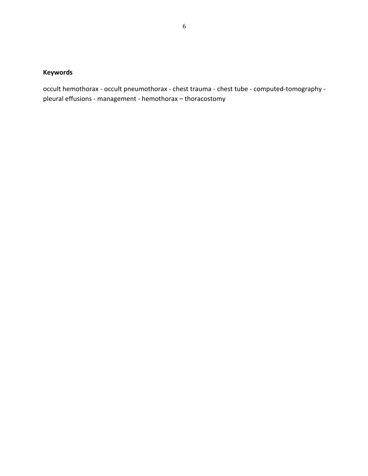## **Keywords**

occult hemothorax - occult pneumothorax - chest trauma - chest tube - computed-tomography pleural effusions - management - hemothorax - thoracostomy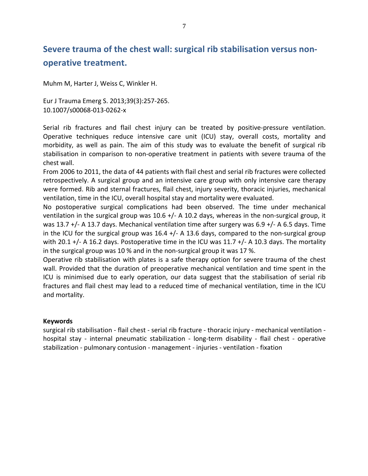# Severe trauma of the chest wall: surgical rib stabilisation versus non**operative treatment.**

Muhm M, Harter J, Weiss C, Winkler H.

Eur J Trauma Emerg S. 2013;39(3):257-265. 10.1007/s00068-013-0262-x

Serial rib fractures and flail chest injury can be treated by positive-pressure ventilation. Operative techniques reduce intensive care unit (ICU) stay, overall costs, mortality and morbidity, as well as pain. The aim of this study was to evaluate the benefit of surgical rib stabilisation in comparison to non-operative treatment in patients with severe trauma of the chest wall.

From 2006 to 2011, the data of 44 patients with flail chest and serial rib fractures were collected retrospectively. A surgical group and an intensive care group with only intensive care therapy were formed. Rib and sternal fractures, flail chest, injury severity, thoracic injuries, mechanical ventilation, time in the ICU, overall hospital stay and mortality were evaluated.

No postoperative surgical complications had been observed. The time under mechanical ventilation in the surgical group was 10.6 +/- A 10.2 days, whereas in the non-surgical group, it was 13.7 +/- A 13.7 days. Mechanical ventilation time after surgery was 6.9 +/- A 6.5 days. Time in the ICU for the surgical group was  $16.4$  +/- A 13.6 days, compared to the non-surgical group with 20.1 +/- A 16.2 days. Postoperative time in the ICU was 11.7 +/- A 10.3 days. The mortality in the surgical group was 10 % and in the non-surgical group it was 17 %.

Operative rib stabilisation with plates is a safe therapy option for severe trauma of the chest wall. Provided that the duration of preoperative mechanical ventilation and time spent in the ICU is minimised due to early operation, our data suggest that the stabilisation of serial rib fractures and flail chest may lead to a reduced time of mechanical ventilation, time in the ICU and mortality.

### **Keywords**

surgical rib stabilisation - flail chest - serial rib fracture - thoracic injury - mechanical ventilation hospital stay - internal pneumatic stabilization - long-term disability - flail chest - operative stabilization - pulmonary contusion - management - injuries - ventilation - fixation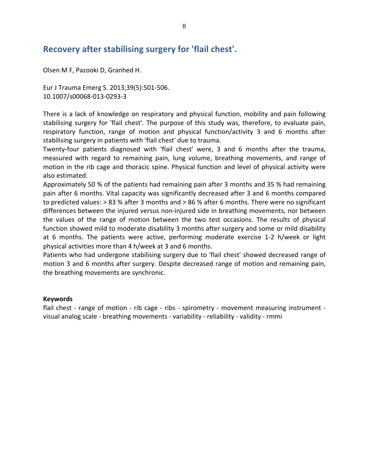# Recovery after stabilising surgery for 'flail chest'.

Olsen M F, Pazooki D, Granhed H.

Eur J Trauma Emerg S. 2013;39(5):501-506. 10.1007/s00068-013-0293-3

There is a lack of knowledge on respiratory and physical function, mobility and pain following stabilising surgery for 'flail chest'. The purpose of this study was, therefore, to evaluate pain, respiratory function, range of motion and physical function/activity 3 and 6 months after stabilising surgery in patients with 'flail chest' due to trauma.

Twenty-four patients diagnosed with 'flail chest' were, 3 and 6 months after the trauma, measured with regard to remaining pain, lung volume, breathing movements, and range of motion in the rib cage and thoracic spine. Physical function and level of physical activity were also estimated.

Approximately 50 % of the patients had remaining pain after 3 months and 35 % had remaining pain after 6 months. Vital capacity was significantly decreased after 3 and 6 months compared to predicted values:  $> 83$  % after 3 months and  $> 86$  % after 6 months. There were no significant differences between the injured versus non-injured side in breathing movements, nor between the values of the range of motion between the two test occasions. The results of physical function showed mild to moderate disability 3 months after surgery and some or mild disability at 6 months. The patients were active, performing moderate exercise 1-2 h/week or light physical activities more than 4 h/week at 3 and 6 months.

Patients who had undergone stabilising surgery due to 'flail chest' showed decreased range of motion 3 and 6 months after surgery. Despite decreased range of motion and remaining pain, the breathing movements are synchronic.

#### **Keywords**

flail chest - range of motion - rib cage - ribs - spirometry - movement measuring instrument visual analog scale - breathing movements - variability - reliability - validity - rmmi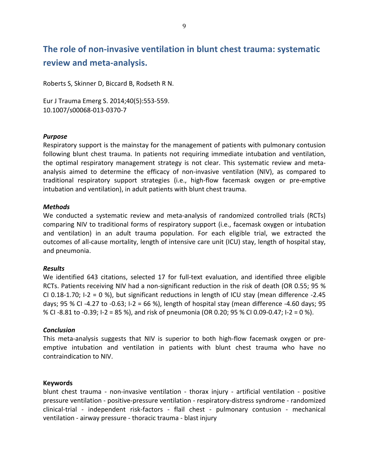# The role of non-invasive ventilation in blunt chest trauma: systematic **review'and'meta>analysis.**

Roberts S, Skinner D, Biccard B, Rodseth R N.

Eur J Trauma Emerg S. 2014;40(5):553-559. 10.1007/s00068-013-0370-7

#### *Purpose*

Respiratory support is the mainstay for the management of patients with pulmonary contusion following blunt chest trauma. In patients not requiring immediate intubation and ventilation, the optimal respiratory management strategy is not clear. This systematic review and metaanalysis aimed to determine the efficacy of non-invasive ventilation (NIV), as compared to traditional respiratory support strategies (i.e., high-flow facemask oxygen or pre-emptive intubation and ventilation), in adult patients with blunt chest trauma.

#### *Methods*

We conducted a systematic review and meta-analysis of randomized controlled trials (RCTs) comparing NIV to traditional forms of respiratory support (i.e., facemask oxygen or intubation and ventilation) in an adult trauma population. For each eligible trial, we extracted the outcomes of all-cause mortality, length of intensive care unit (ICU) stay, length of hospital stay, and pneumonia.

#### *Results*

We identified 643 citations, selected 17 for full-text evaluation, and identified three eligible RCTs. Patients receiving NIV had a non-significant reduction in the risk of death (OR 0.55; 95 % CI 0.18-1.70; I-2 = 0 %), but significant reductions in length of ICU stay (mean difference -2.45 days; 95 % CI -4.27 to -0.63; I-2 = 66 %), length of hospital stay (mean difference -4.60 days; 95 % CI -8.81 to -0.39; I-2 = 85 %), and risk of pneumonia (OR 0.20; 95 % CI 0.09-0.47; I-2 = 0 %).

#### *Conclusion*

This meta-analysis suggests that NIV is superior to both high-flow facemask oxygen or preemptive intubation and ventilation in patients with blunt chest trauma who have no contraindication to NIV.

#### **Keywords**

blunt chest trauma - non-invasive ventilation - thorax injury - artificial ventilation - positive pressure ventilation - positive-pressure ventilation - respiratory-distress syndrome - randomized clinical-trial - independent risk-factors - flail chest - pulmonary contusion - mechanical ventilation - airway pressure - thoracic trauma - blast injury